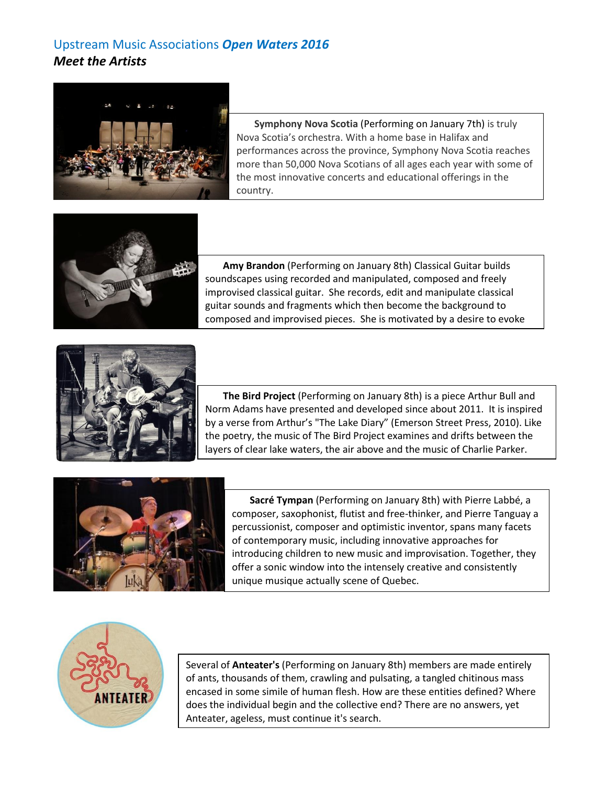## Upstream Music Associations *Open Waters 2016 Meet the Artists*



**Symphony Nova Scotia** (Performing on January 7th) is truly Nova Scotia's orchestra. With a home base in Halifax and performances across the province, Symphony Nova Scotia reaches more than 50,000 Nova Scotians of all ages each year with some of the most innovative concerts and educational offerings in the country.



**Amy Brandon** (Performing on January 8th) Classical Guitar builds soundscapes using recorded and manipulated, composed and freely improvised classical guitar. She records, edit and manipulate classical guitar sounds and fragments which then become the background to composed and improvised pieces. She is motivated by a desire to evoke



**The Bird Project** (Performing on January 8th) is a piece Arthur Bull and Norm Adams have presented and developed since about 2011. It is inspired by a verse from Arthur's "The Lake Diary" (Emerson Street Press, 2010). Like the poetry, the music of The Bird Project examines and drifts between the layers of clear lake waters, the air above and the music of Charlie Parker.



**Sacré Tympan** (Performing on January 8th) with Pierre Labbé, a composer, saxophonist, flutist and free-thinker, and Pierre Tanguay a percussionist, composer and optimistic inventor, spans many facets of contemporary music, including innovative approaches for introducing children to new music and improvisation. Together, they offer a sonic window into the intensely creative and consistently unique musique actually scene of Quebec.



Several of **Anteater's** (Performing on January 8th) members are made entirely of ants, thousands of them, crawling and pulsating, a tangled chitinous mass encased in some simile of human flesh. How are these entities defined? Where does the individual begin and the collective end? There are no answers, yet Anteater, ageless, must continue it's search.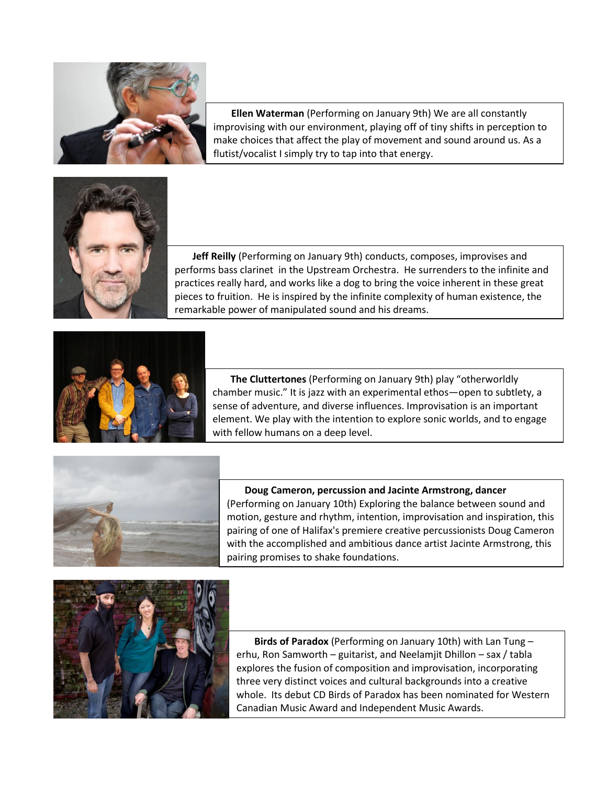

**Ellen Waterman** (Performing on January 9th) We are all constantly improvising with our environment, playing off of tiny shifts in perception to make choices that affect the play of movement and sound around us. As a flutist/vocalist I simply try to tap into that energy.



**Jeff Reilly** (Performing on January 9th) conducts, composes, improvises and performs bass clarinet in the Upstream Orchestra. He surrenders to the infinite and practices really hard, and works like a dog to bring the voice inherent in these great pieces to fruition. He is inspired by the infinite complexity of human existence, the remarkable power of manipulated sound and his dreams.



**The Cluttertones** (Performing on January 9th) play "otherworldly chamber music." It is jazz with an experimental ethos—open to subtlety, a sense of adventure, and diverse influences. Improvisation is an important element. We play with the intention to explore sonic worlds, and to engage with fellow humans on a deep level.



**Doug Cameron, percussion and Jacinte Armstrong, dancer**  (Performing on January 10th) Exploring the balance between sound and motion, gesture and rhythm, intention, improvisation and inspiration, this pairing of one of Halifax's premiere creative percussionists Doug Cameron with the accomplished and ambitious dance artist Jacinte Armstrong, this pairing promises to shake foundations.



**Birds of Paradox** (Performing on January 10th) with Lan Tung – erhu, Ron Samworth – guitarist, and Neelamjit Dhillon – sax / tabla explores the fusion of composition and improvisation, incorporating three very distinct voices and cultural backgrounds into a creative whole. Its debut CD Birds of Paradox has been nominated for Western Canadian Music Award and Independent Music Awards.